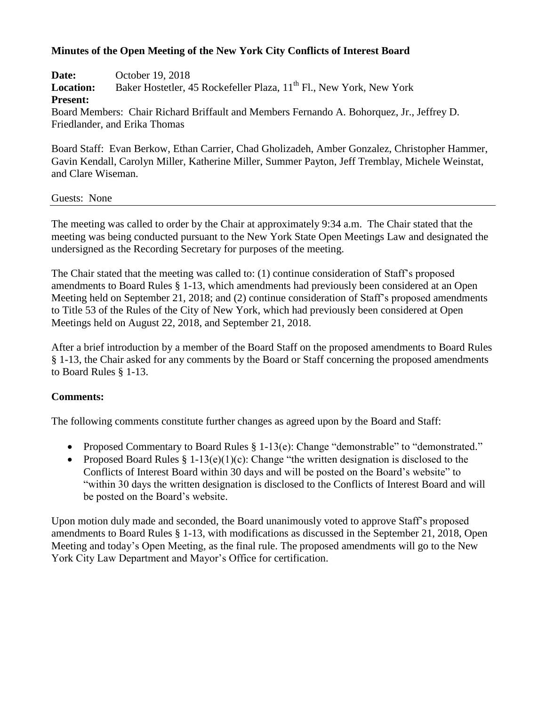## **Minutes of the Open Meeting of the New York City Conflicts of Interest Board**

**Date:** October 19, 2018 Location: Baker Hostetler, 45 Rockefeller Plaza, 11<sup>th</sup> Fl., New York, New York **Present:** Board Members: Chair Richard Briffault and Members Fernando A. Bohorquez, Jr., Jeffrey D. Friedlander, and Erika Thomas

Board Staff: Evan Berkow, Ethan Carrier, Chad Gholizadeh, Amber Gonzalez, Christopher Hammer, Gavin Kendall, Carolyn Miller, Katherine Miller, Summer Payton, Jeff Tremblay, Michele Weinstat, and Clare Wiseman.

## Guests: None

The meeting was called to order by the Chair at approximately 9:34 a.m. The Chair stated that the meeting was being conducted pursuant to the New York State Open Meetings Law and designated the undersigned as the Recording Secretary for purposes of the meeting.

The Chair stated that the meeting was called to: (1) continue consideration of Staff's proposed amendments to Board Rules § 1-13, which amendments had previously been considered at an Open Meeting held on September 21, 2018; and (2) continue consideration of Staff's proposed amendments to Title 53 of the Rules of the City of New York, which had previously been considered at Open Meetings held on August 22, 2018, and September 21, 2018.

After a brief introduction by a member of the Board Staff on the proposed amendments to Board Rules § 1-13, the Chair asked for any comments by the Board or Staff concerning the proposed amendments to Board Rules § 1-13.

## **Comments:**

The following comments constitute further changes as agreed upon by the Board and Staff:

- Proposed Commentary to Board Rules § 1-13(e): Change "demonstrable" to "demonstrated."
- Proposed Board Rules  $\S 1-13(e)(1)(c)$ : Change "the written designation is disclosed to the Conflicts of Interest Board within 30 days and will be posted on the Board's website" to "within 30 days the written designation is disclosed to the Conflicts of Interest Board and will be posted on the Board's website.

Upon motion duly made and seconded, the Board unanimously voted to approve Staff's proposed amendments to Board Rules § 1-13, with modifications as discussed in the September 21, 2018, Open Meeting and today's Open Meeting, as the final rule. The proposed amendments will go to the New York City Law Department and Mayor's Office for certification.